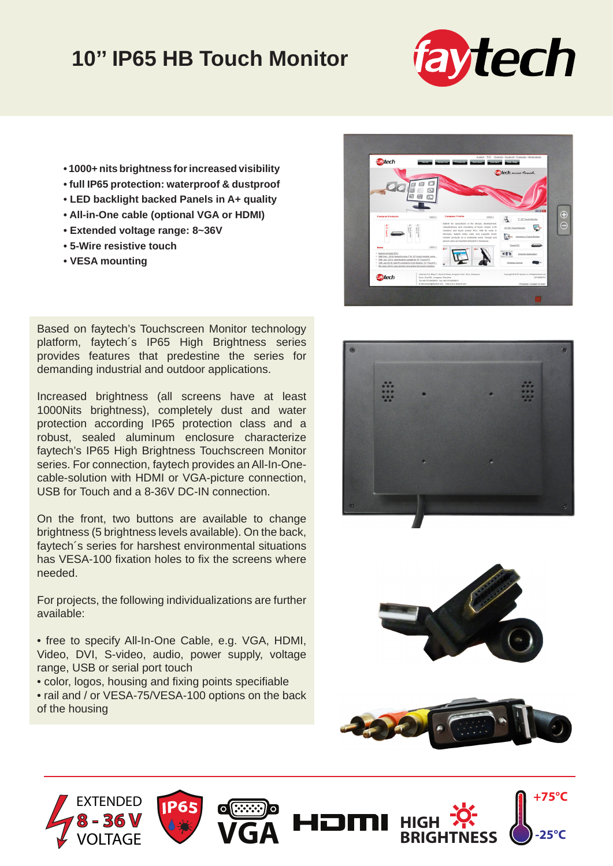## **10'' IP65 HB Touch Monitor**



- **1000+ nits brightness for increased visibility**
- **full IP65 protection: waterproof & dustproof**
- **LED backlight backed Panels in A+ quality**
- **All-in-One cable (optional VGA or HDMI)**
- **Extended voltage range: 8~36V**
- **5-Wire resistive touch**
- **VESA mounting**

Based on faytech's Touchscreen Monitor technology platform, faytech´s IP65 High Brightness series provides features that predestine the series for demanding industrial and outdoor applications.

Increased brightness (all screens have at least 1000Nits brightness), completely dust and water protection according IP65 protection class and a robust, sealed aluminum enclosure characterize faytech's IP65 High Brightness Touchscreen Monitor series. For connection, faytech provides an All-In-Onecable-solution with HDMI or VGA-picture connection, USB for Touch and a 8-36V DC-IN connection.

On the front, two buttons are available to change brightness (5 brightness levels available). On the back, faytech´s series for harshest environmental situations has VESA-100 fixation holes to fix the screens where needed.

For projects, the following individualizations are further available:

• free to specify All-In-One Cable, e.g. VGA, HDMI, Video, DVI, S-video, audio, power supply, voltage range, USB or serial port touch

• color, logos, housing and fixing points specifiable

• rail and / or VESA-75/VESA-100 options on the back of the housing